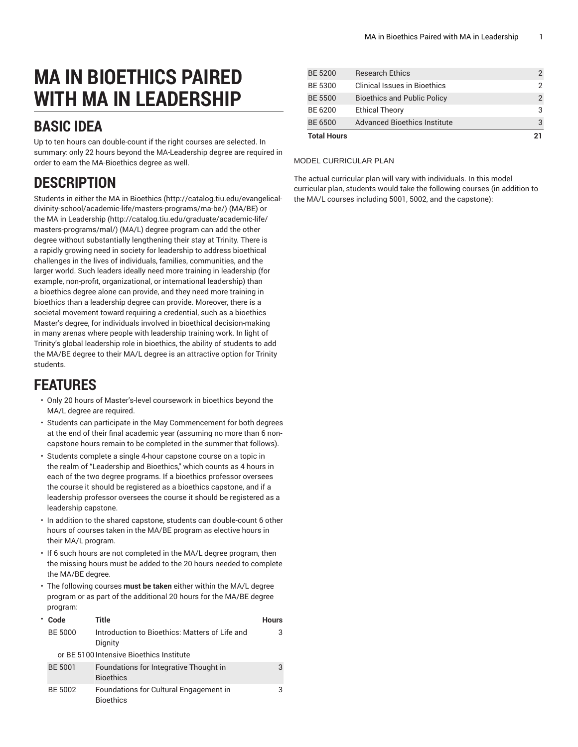# **MA IN BIOETHICS PAIRED WITH MA IN LEADERSHIP**

## **BASIC IDEA**

Up to ten hours can double-count if the right courses are selected. In summary: only 22 hours beyond the MA-Leadership degree are required in order to earn the MA-Bioethics degree as well.

# **DESCRIPTION**

Students in either the MA in [Bioethics](http://catalog.tiu.edu/evangelical-divinity-school/academic-life/masters-programs/ma-be/) [\(http://catalog.tiu.edu/evangelical](http://catalog.tiu.edu/evangelical-divinity-school/academic-life/masters-programs/ma-be/)[divinity-school/academic-life/masters-programs/ma-be/](http://catalog.tiu.edu/evangelical-divinity-school/academic-life/masters-programs/ma-be/)) (MA/BE) or the MA in [Leadership](http://catalog.tiu.edu/graduate/academic-life/masters-programs/mal/) ([http://catalog.tiu.edu/graduate/academic-life/](http://catalog.tiu.edu/graduate/academic-life/masters-programs/mal/) [masters-programs/mal/](http://catalog.tiu.edu/graduate/academic-life/masters-programs/mal/)) (MA/L) degree program can add the other degree without substantially lengthening their stay at Trinity. There is a rapidly growing need in society for leadership to address bioethical challenges in the lives of individuals, families, communities, and the larger world. Such leaders ideally need more training in leadership (for example, non-profit, organizational, or international leadership) than a bioethics degree alone can provide, and they need more training in bioethics than a leadership degree can provide. Moreover, there is a societal movement toward requiring a credential, such as a bioethics Master's degree, for individuals involved in bioethical decision-making in many arenas where people with leadership training work. In light of Trinity's global leadership role in bioethics, the ability of students to add the MA/BE degree to their MA/L degree is an attractive option for Trinity students.

### **FEATURES**

- Only 20 hours of Master's-level coursework in bioethics beyond the MA/L degree are required.
- Students can participate in the May Commencement for both degrees at the end of their final academic year (assuming no more than 6 noncapstone hours remain to be completed in the summer that follows).
- Students complete a single 4-hour capstone course on a topic in the realm of "Leadership and Bioethics," which counts as 4 hours in each of the two degree programs. If a bioethics professor oversees the course it should be registered as a bioethics capstone, and if a leadership professor oversees the course it should be registered as a leadership capstone.
- In addition to the shared capstone, students can double-count 6 other hours of courses taken in the MA/BE program as elective hours in their MA/L program.
- If 6 such hours are not completed in the MA/L degree program, then the missing hours must be added to the 20 hours needed to complete the MA/BE degree.
- The following courses **must be taken** either within the MA/L degree program or as part of the additional 20 hours for the MA/BE degree program:

| * Code         | Title                                                      | <b>Hours</b> |
|----------------|------------------------------------------------------------|--------------|
| <b>BE 5000</b> | Introduction to Bioethics: Matters of Life and<br>Dignity  | 3            |
|                | or BE 5100 Intensive Bioethics Institute                   |              |
| <b>BE 5001</b> | Foundations for Integrative Thought in<br><b>Bioethics</b> | 3            |
| BE 5002        | Foundations for Cultural Engagement in<br><b>Bioethics</b> | 3            |

| <b>Total Hours</b> | 21                                  |   |
|--------------------|-------------------------------------|---|
| <b>BE 6500</b>     | <b>Advanced Bioethics Institute</b> |   |
| BE 6200            | <b>Ethical Theory</b>               | З |
| <b>BE 5500</b>     | <b>Bioethics and Public Policy</b>  |   |
| BE 5300            | Clinical Issues in Bioethics        |   |
| <b>BE 5200</b>     | <b>Research Ethics</b>              |   |

#### MODEL CURRICULAR PLAN

The actual curricular plan will vary with individuals. In this model curricular plan, students would take the following courses (in addition to the MA/L courses including 5001, 5002, and the capstone):